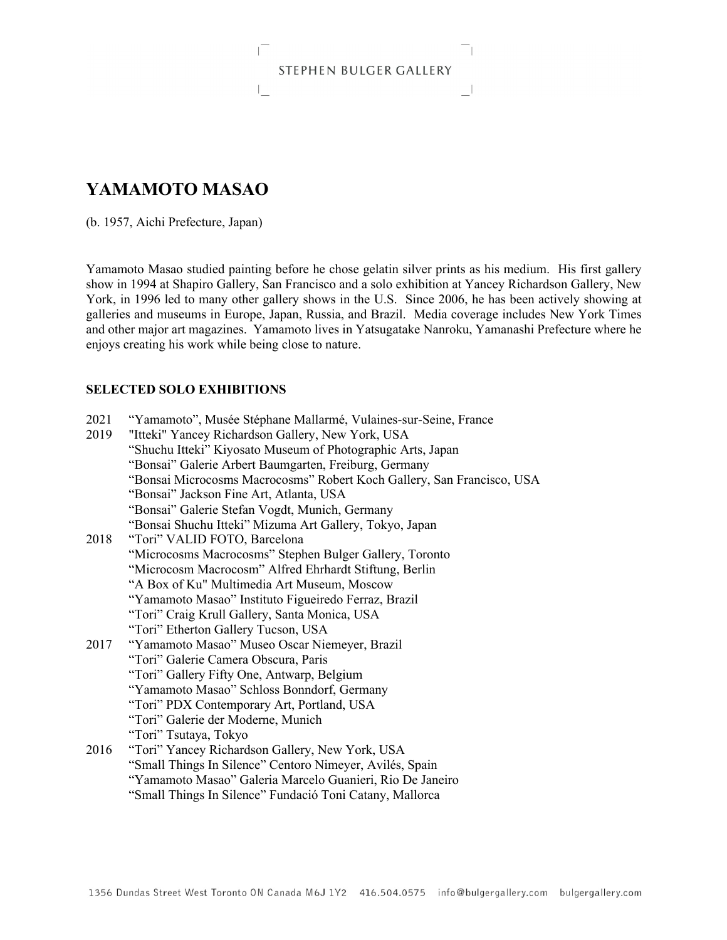## STEPHEN BULGER GALLERY

그

# **YAMAMOTO MASAO**

L

(b. 1957, Aichi Prefecture, Japan)

Yamamoto Masao studied painting before he chose gelatin silver prints as his medium. His first gallery show in 1994 at Shapiro Gallery, San Francisco and a solo exhibition at Yancey Richardson Gallery, New York, in 1996 led to many other gallery shows in the U.S. Since 2006, he has been actively showing at galleries and museums in Europe, Japan, Russia, and Brazil. Media coverage includes New York Times and other major art magazines. Yamamoto lives in Yatsugatake Nanroku, Yamanashi Prefecture where he enjoys creating his work while being close to nature.

### **SELECTED SOLO EXHIBITIONS**

| 2021 | "Yamamoto", Musée Stéphane Mallarmé, Vulaines-sur-Seine, France        |
|------|------------------------------------------------------------------------|
| 2019 | "Itteki" Yancey Richardson Gallery, New York, USA                      |
|      | "Shuchu Itteki" Kiyosato Museum of Photographic Arts, Japan            |
|      | "Bonsai" Galerie Arbert Baumgarten, Freiburg, Germany                  |
|      | "Bonsai Microcosms Macrocosms" Robert Koch Gallery, San Francisco, USA |
|      | "Bonsai" Jackson Fine Art, Atlanta, USA                                |
|      | "Bonsai" Galerie Stefan Vogdt, Munich, Germany                         |
|      | "Bonsai Shuchu Itteki" Mizuma Art Gallery, Tokyo, Japan                |
| 2018 | "Tori" VALID FOTO, Barcelona                                           |
|      | "Microcosms Macrocosms" Stephen Bulger Gallery, Toronto                |
|      | "Microcosm Macrocosm" Alfred Ehrhardt Stiftung, Berlin                 |
|      | "A Box of Ku" Multimedia Art Museum, Moscow                            |
|      | "Yamamoto Masao" Instituto Figueiredo Ferraz, Brazil                   |
|      | "Tori" Craig Krull Gallery, Santa Monica, USA                          |
|      | "Tori" Etherton Gallery Tucson, USA                                    |
| 2017 | "Yamamoto Masao" Museo Oscar Niemeyer, Brazil                          |
|      | "Tori" Galerie Camera Obscura, Paris                                   |
|      | "Tori" Gallery Fifty One, Antwarp, Belgium                             |
|      | "Yamamoto Masao" Schloss Bonndorf, Germany                             |
|      | "Tori" PDX Contemporary Art, Portland, USA                             |
|      | "Tori" Galerie der Moderne, Munich                                     |
|      | "Tori" Tsutaya, Tokyo                                                  |
| 2016 | "Tori" Yancey Richardson Gallery, New York, USA                        |
|      | "Small Things In Silence" Centoro Nimeyer, Avilés, Spain               |
|      | "Yamamoto Masao" Galeria Marcelo Guanieri, Rio De Janeiro              |
|      | "Small Things In Silence" Fundació Toni Catany, Mallorca               |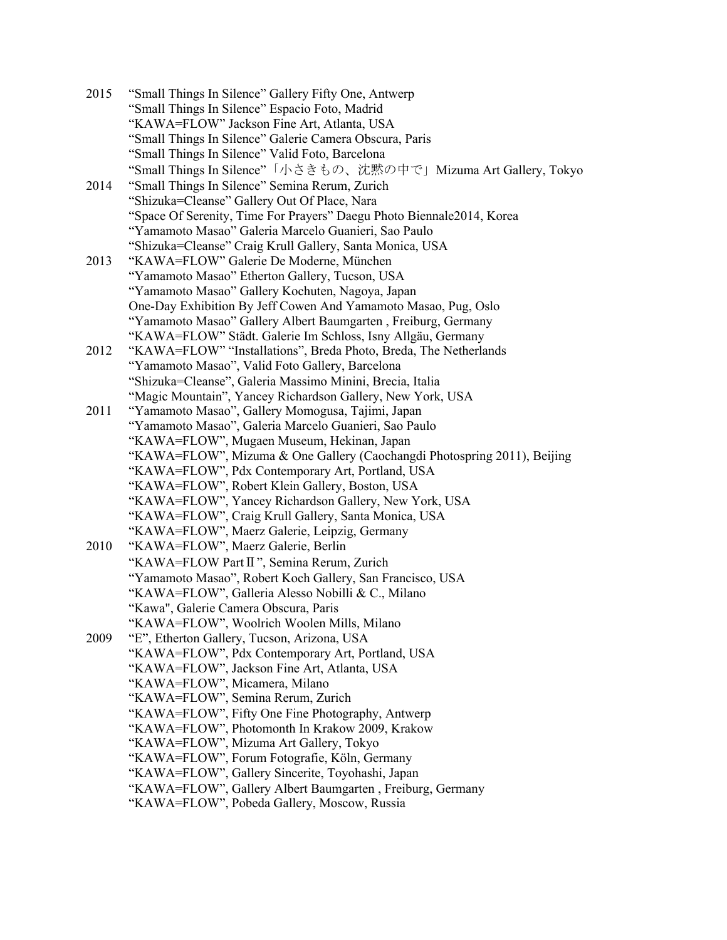| 2015 | "Small Things In Silence" Gallery Fifty One, Antwerp                                      |
|------|-------------------------------------------------------------------------------------------|
|      | "Small Things In Silence" Espacio Foto, Madrid                                            |
|      | "KAWA=FLOW" Jackson Fine Art, Atlanta, USA                                                |
|      | "Small Things In Silence" Galerie Camera Obscura, Paris                                   |
|      | "Small Things In Silence" Valid Foto, Barcelona                                           |
|      | "Small Things In Silence"「小さきもの、沈黙の中で」Mizuma Art Gallery, Tokyo                           |
| 2014 | "Small Things In Silence" Semina Rerum, Zurich                                            |
|      | "Shizuka=Cleanse" Gallery Out Of Place, Nara                                              |
|      | "Space Of Serenity, Time For Prayers" Daegu Photo Biennale2014, Korea                     |
|      | "Yamamoto Masao" Galeria Marcelo Guanieri, Sao Paulo                                      |
|      | "Shizuka=Cleanse" Craig Krull Gallery, Santa Monica, USA                                  |
| 2013 | "KAWA=FLOW" Galerie De Moderne, München                                                   |
|      | "Yamamoto Masao" Etherton Gallery, Tucson, USA                                            |
|      | "Yamamoto Masao" Gallery Kochuten, Nagoya, Japan                                          |
|      | One-Day Exhibition By Jeff Cowen And Yamamoto Masao, Pug, Oslo                            |
|      | "Yamamoto Masao" Gallery Albert Baumgarten, Freiburg, Germany                             |
|      | "KAWA=FLOW" Städt. Galerie Im Schloss, Isny Allgäu, Germany                               |
| 2012 | "KAWA=FLOW" "Installations", Breda Photo, Breda, The Netherlands                          |
|      | "Yamamoto Masao", Valid Foto Gallery, Barcelona                                           |
|      | "Shizuka=Cleanse", Galeria Massimo Minini, Brecia, Italia                                 |
|      | "Magic Mountain", Yancey Richardson Gallery, New York, USA                                |
| 2011 | "Yamamoto Masao", Gallery Momogusa, Tajimi, Japan                                         |
|      | "Yamamoto Masao", Galeria Marcelo Guanieri, Sao Paulo                                     |
|      | "KAWA=FLOW", Mugaen Museum, Hekinan, Japan                                                |
|      | "KAWA=FLOW", Mizuma & One Gallery (Caochangdi Photospring 2011), Beijing                  |
|      | "KAWA=FLOW", Pdx Contemporary Art, Portland, USA                                          |
|      | "KAWA=FLOW", Robert Klein Gallery, Boston, USA                                            |
|      | "KAWA=FLOW", Yancey Richardson Gallery, New York, USA                                     |
|      | "KAWA=FLOW", Craig Krull Gallery, Santa Monica, USA                                       |
|      | "KAWA=FLOW", Maerz Galerie, Leipzig, Germany                                              |
| 2010 | "KAWA=FLOW", Maerz Galerie, Berlin                                                        |
|      | "KAWA=FLOW Part II", Semina Rerum, Zurich                                                 |
|      | "Yamamoto Masao", Robert Koch Gallery, San Francisco, USA                                 |
|      | "KAWA=FLOW", Galleria Alesso Nobilli & C., Milano                                         |
|      | "Kawa", Galerie Camera Obscura, Paris                                                     |
| 2009 | "KAWA=FLOW", Woolrich Woolen Mills, Milano<br>"E", Etherton Gallery, Tucson, Arizona, USA |
|      | "KAWA=FLOW", Pdx Contemporary Art, Portland, USA                                          |
|      | "KAWA=FLOW", Jackson Fine Art, Atlanta, USA                                               |
|      | "KAWA=FLOW", Micamera, Milano                                                             |
|      | "KAWA=FLOW", Semina Rerum, Zurich                                                         |
|      | "KAWA=FLOW", Fifty One Fine Photography, Antwerp                                          |
|      | "KAWA=FLOW", Photomonth In Krakow 2009, Krakow                                            |
|      | "KAWA=FLOW", Mizuma Art Gallery, Tokyo                                                    |
|      | "KAWA=FLOW", Forum Fotografie, Köln, Germany                                              |
|      | "KAWA=FLOW", Gallery Sincerite, Toyohashi, Japan                                          |
|      | "KAWA=FLOW", Gallery Albert Baumgarten, Freiburg, Germany                                 |
|      | "KAWA=FLOW", Pobeda Gallery, Moscow, Russia                                               |
|      |                                                                                           |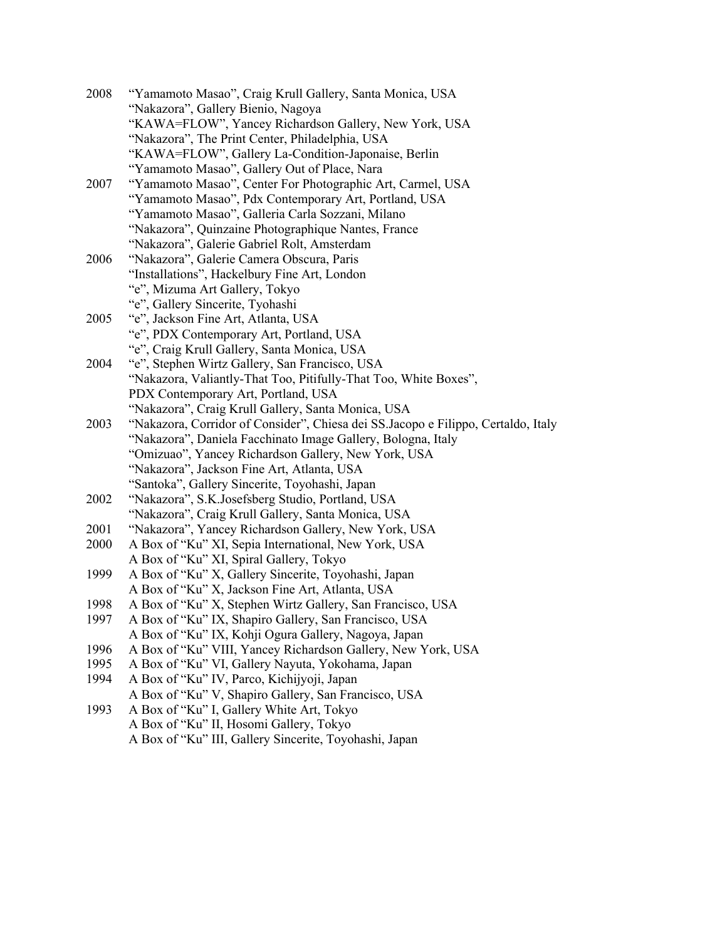| 2008 | "Yamamoto Masao", Craig Krull Gallery, Santa Monica, USA                          |
|------|-----------------------------------------------------------------------------------|
|      | "Nakazora", Gallery Bienio, Nagoya                                                |
|      | "KAWA=FLOW", Yancey Richardson Gallery, New York, USA                             |
|      | "Nakazora", The Print Center, Philadelphia, USA                                   |
|      | "KAWA=FLOW", Gallery La-Condition-Japonaise, Berlin                               |
|      | "Yamamoto Masao", Gallery Out of Place, Nara                                      |
| 2007 | "Yamamoto Masao", Center For Photographic Art, Carmel, USA                        |
|      | "Yamamoto Masao", Pdx Contemporary Art, Portland, USA                             |
|      | "Yamamoto Masao", Galleria Carla Sozzani, Milano                                  |
|      | "Nakazora", Quinzaine Photographique Nantes, France                               |
|      | "Nakazora", Galerie Gabriel Rolt, Amsterdam                                       |
| 2006 | "Nakazora", Galerie Camera Obscura, Paris                                         |
|      | "Installations", Hackelbury Fine Art, London                                      |
|      | "e", Mizuma Art Gallery, Tokyo                                                    |
|      | "e", Gallery Sincerite, Tyohashi                                                  |
| 2005 | "e", Jackson Fine Art, Atlanta, USA                                               |
|      | "e", PDX Contemporary Art, Portland, USA                                          |
|      | "e", Craig Krull Gallery, Santa Monica, USA                                       |
| 2004 | "e", Stephen Wirtz Gallery, San Francisco, USA                                    |
|      | "Nakazora, Valiantly-That Too, Pitifully-That Too, White Boxes",                  |
|      | PDX Contemporary Art, Portland, USA                                               |
|      | "Nakazora", Craig Krull Gallery, Santa Monica, USA                                |
| 2003 | "Nakazora, Corridor of Consider", Chiesa dei SS.Jacopo e Filippo, Certaldo, Italy |
|      | "Nakazora", Daniela Facchinato Image Gallery, Bologna, Italy                      |
|      | "Omizuao", Yancey Richardson Gallery, New York, USA                               |
|      | "Nakazora", Jackson Fine Art, Atlanta, USA                                        |
|      | "Santoka", Gallery Sincerite, Toyohashi, Japan                                    |
| 2002 | "Nakazora", S.K.Josefsberg Studio, Portland, USA                                  |
|      | "Nakazora", Craig Krull Gallery, Santa Monica, USA                                |
| 2001 | "Nakazora", Yancey Richardson Gallery, New York, USA                              |
| 2000 | A Box of "Ku" XI, Sepia International, New York, USA                              |
|      | A Box of "Ku" XI, Spiral Gallery, Tokyo                                           |
| 1999 | A Box of "Ku" X, Gallery Sincerite, Toyohashi, Japan                              |
|      | A Box of "Ku" X, Jackson Fine Art, Atlanta, USA                                   |
| 1998 | A Box of "Ku" X, Stephen Wirtz Gallery, San Francisco, USA                        |
| 1997 | A Box of "Ku" IX, Shapiro Gallery, San Francisco, USA                             |
|      | A Box of "Ku" IX, Kohji Ogura Gallery, Nagoya, Japan                              |
| 1996 | A Box of "Ku" VIII, Yancey Richardson Gallery, New York, USA                      |
| 1995 | A Box of "Ku" VI, Gallery Nayuta, Yokohama, Japan                                 |
| 1994 | A Box of "Ku" IV, Parco, Kichijyoji, Japan                                        |
|      | A Box of "Ku" V, Shapiro Gallery, San Francisco, USA                              |
| 1993 | A Box of "Ku" I, Gallery White Art, Tokyo                                         |
|      | A Box of "Ku" II, Hosomi Gallery, Tokyo                                           |
|      | A Box of "Ku" III, Gallery Sincerite, Toyohashi, Japan                            |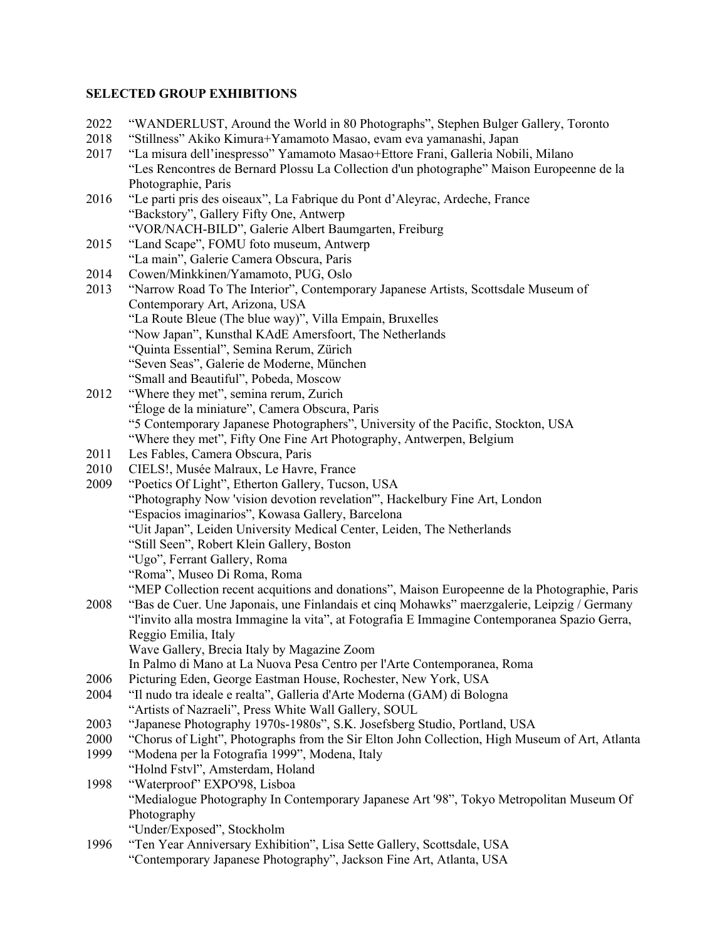#### **SELECTED GROUP EXHIBITIONS**

- 2022 "WANDERLUST, Around the World in 80 Photographs", Stephen Bulger Gallery, Toronto
- 2018 "Stillness" Akiko Kimura+Yamamoto Masao, evam eva yamanashi, Japan
- 2017 "La misura dell'inespresso" Yamamoto Masao+Ettore Frani, Galleria Nobili, Milano "Les Rencontres de Bernard Plossu La Collection d'un photographe" Maison Europeenne de la Photographie, Paris
- 2016 "Le parti pris des oiseaux", La Fabrique du Pont d'Aleyrac, Ardeche, France "Backstory", Gallery Fifty One, Antwerp "VOR/NACH-BILD", Galerie Albert Baumgarten, Freiburg
- 2015 "Land Scape", FOMU foto museum, Antwerp "La main", Galerie Camera Obscura, Paris
- 2014 Cowen/Minkkinen/Yamamoto, PUG, Oslo
- 2013 "Narrow Road To The Interior", Contemporary Japanese Artists, Scottsdale Museum of Contemporary Art, Arizona, USA "La Route Bleue (The blue way)", Villa Empain, Bruxelles "Now Japan", Kunsthal KAdE Amersfoort, The Netherlands "Quinta Essential", Semina Rerum, Zürich "Seven Seas", Galerie de Moderne, München "Small and Beautiful", Pobeda, Moscow
- 2012 "Where they met", semina rerum, Zurich "Éloge de la miniature", Camera Obscura, Paris "5 Contemporary Japanese Photographers", University of the Pacific, Stockton, USA "Where they met", Fifty One Fine Art Photography, Antwerpen, Belgium
- 2011 Les Fables, Camera Obscura, Paris
- 2010 CIELS!, Musée Malraux, Le Havre, France
- 2009 "Poetics Of Light", Etherton Gallery, Tucson, USA "Photography Now 'vision devotion revelation'", Hackelbury Fine Art, London "Espacios imaginarios", Kowasa Gallery, Barcelona
	- "Uit Japan", Leiden University Medical Center, Leiden, The Netherlands
	- "Still Seen", Robert Klein Gallery, Boston
	- "Ugo", Ferrant Gallery, Roma
	- "Roma", Museo Di Roma, Roma
	- "MEP Collection recent acquitions and donations", Maison Europeenne de la Photographie, Paris
- 2008 "Bas de Cuer. Une Japonais, une Finlandais et cinq Mohawks" maerzgalerie, Leipzig / Germany "l'invito alla mostra Immagine la vita", at Fotografia E Immagine Contemporanea Spazio Gerra, Reggio Emilia, Italy
	- Wave Gallery, Brecia Italy by Magazine Zoom
	- In Palmo di Mano at La Nuova Pesa Centro per l'Arte Contemporanea, Roma
- 2006 Picturing Eden, George Eastman House, Rochester, New York, USA
- 2004 "Il nudo tra ideale e realta", Galleria d'Arte Moderna (GAM) di Bologna "Artists of Nazraeli", Press White Wall Gallery, SOUL
- 2003 "Japanese Photography 1970s-1980s", S.K. Josefsberg Studio, Portland, USA
- 2000 "Chorus of Light", Photographs from the Sir Elton John Collection, High Museum of Art, Atlanta
- 1999 "Modena per la Fotografia 1999", Modena, Italy "Holnd Fstvl", Amsterdam, Holand
- 1998 "Waterproof" EXPO'98, Lisboa "Medialogue Photography In Contemporary Japanese Art '98", Tokyo Metropolitan Museum Of Photography
	- "Under/Exposed", Stockholm
- 1996 "Ten Year Anniversary Exhibition", Lisa Sette Gallery, Scottsdale, USA "Contemporary Japanese Photography", Jackson Fine Art, Atlanta, USA